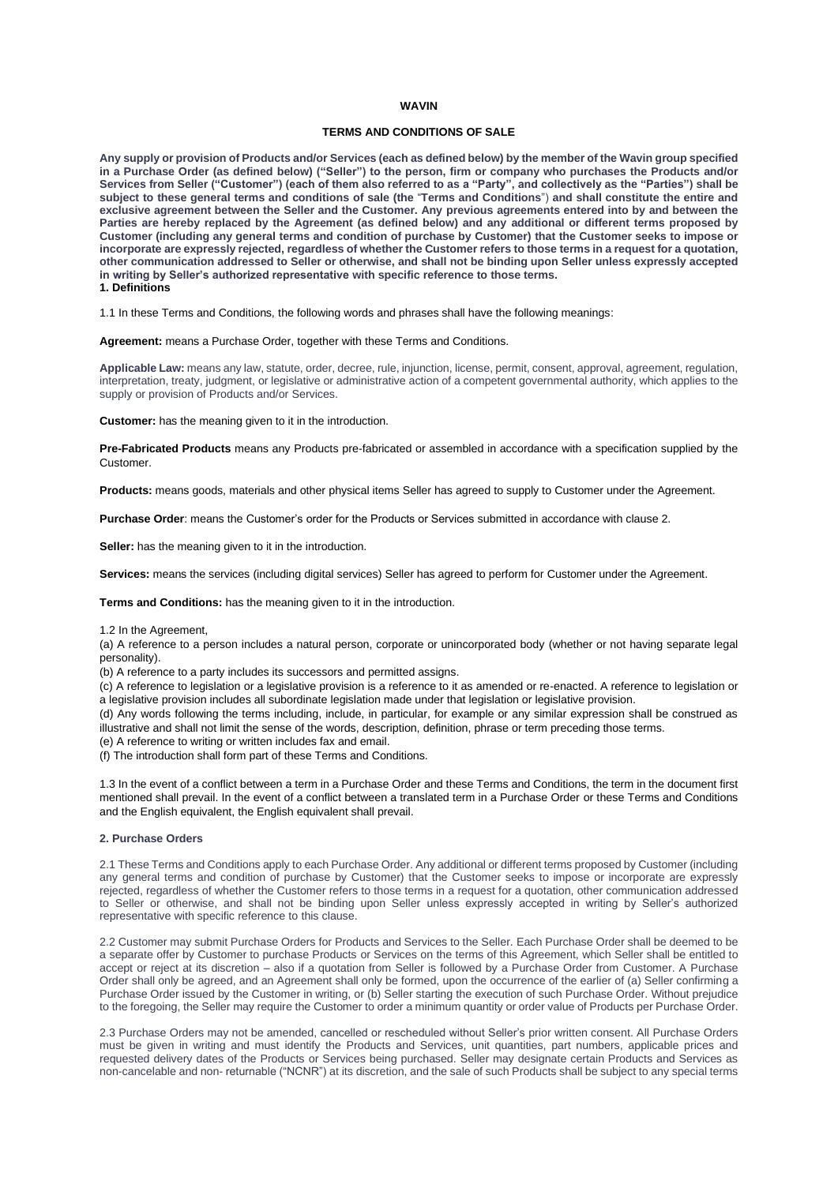# **WAVIN**

# **TERMS AND CONDITIONS OF SALE**

**Any supply or provision of Products and/or Services (each as defined below) by the member of the Wavin group specified in a Purchase Order (as defined below) ("Seller") to the person, firm or company who purchases the Products and/or Services from Seller ("Customer") (each of them also referred to as a "Party", and collectively as the "Parties") shall be subject to these general terms and conditions of sale (the** "**Terms and Conditions**") **and shall constitute the entire and**  exclusive agreement between the Seller and the Customer. Any previous agreements entered into by and between the Parties are hereby replaced by the Agreement (as defined below) and any additional or different terms proposed by **Customer (including any general terms and condition of purchase by Customer) that the Customer seeks to impose or incorporate are expressly rejected, regardless of whether the Customer refers to those terms in a request for a quotation, other communication addressed to Seller or otherwise, and shall not be binding upon Seller unless expressly accepted in writing by Seller's authorized representative with specific reference to those terms. 1. Definitions**

1.1 In these Terms and Conditions, the following words and phrases shall have the following meanings:

**Agreement:** means a Purchase Order, together with these Terms and Conditions.

**Applicable Law:** means any law, statute, order, decree, rule, injunction, license, permit, consent, approval, agreement, regulation, interpretation, treaty, judgment, or legislative or administrative action of a competent governmental authority, which applies to the supply or provision of Products and/or Services.

**Customer:** has the meaning given to it in the introduction.

**Pre-Fabricated Products** means any Products pre-fabricated or assembled in accordance with a specification supplied by the Customer.

**Products:** means goods, materials and other physical items Seller has agreed to supply to Customer under the Agreement.

**Purchase Order**: means the Customer's order for the Products or Services submitted in accordance with clause 2.

**Seller:** has the meaning given to it in the introduction.

**Services:** means the services (including digital services) Seller has agreed to perform for Customer under the Agreement.

**Terms and Conditions:** has the meaning given to it in the introduction.

#### 1.2 In the Agreement,

(a) A reference to a person includes a natural person, corporate or unincorporated body (whether or not having separate legal personality).

(b) A reference to a party includes its successors and permitted assigns.

(c) A reference to legislation or a legislative provision is a reference to it as amended or re-enacted. A reference to legislation or a legislative provision includes all subordinate legislation made under that legislation or legislative provision.

(d) Any words following the terms including, include, in particular, for example or any similar expression shall be construed as illustrative and shall not limit the sense of the words, description, definition, phrase or term preceding those terms.

(e) A reference to writing or written includes fax and email.

(f) The introduction shall form part of these Terms and Conditions.

1.3 In the event of a conflict between a term in a Purchase Order and these Terms and Conditions, the term in the document first mentioned shall prevail. In the event of a conflict between a translated term in a Purchase Order or these Terms and Conditions and the English equivalent, the English equivalent shall prevail.

## **2. Purchase Orders**

2.1 These Terms and Conditions apply to each Purchase Order. Any additional or different terms proposed by Customer (including any general terms and condition of purchase by Customer) that the Customer seeks to impose or incorporate are expressly rejected, regardless of whether the Customer refers to those terms in a request for a quotation, other communication addressed to Seller or otherwise, and shall not be binding upon Seller unless expressly accepted in writing by Seller's authorized representative with specific reference to this clause.

2.2 Customer may submit Purchase Orders for Products and Services to the Seller. Each Purchase Order shall be deemed to be a separate offer by Customer to purchase Products or Services on the terms of this Agreement, which Seller shall be entitled to accept or reject at its discretion – also if a quotation from Seller is followed by a Purchase Order from Customer. A Purchase Order shall only be agreed, and an Agreement shall only be formed, upon the occurrence of the earlier of (a) Seller confirming a Purchase Order issued by the Customer in writing, or (b) Seller starting the execution of such Purchase Order. Without prejudice to the foregoing, the Seller may require the Customer to order a minimum quantity or order value of Products per Purchase Order.

2.3 Purchase Orders may not be amended, cancelled or rescheduled without Seller's prior written consent. All Purchase Orders must be given in writing and must identify the Products and Services, unit quantities, part numbers, applicable prices and requested delivery dates of the Products or Services being purchased. Seller may designate certain Products and Services as non-cancelable and non- returnable ("NCNR") at its discretion, and the sale of such Products shall be subject to any special terms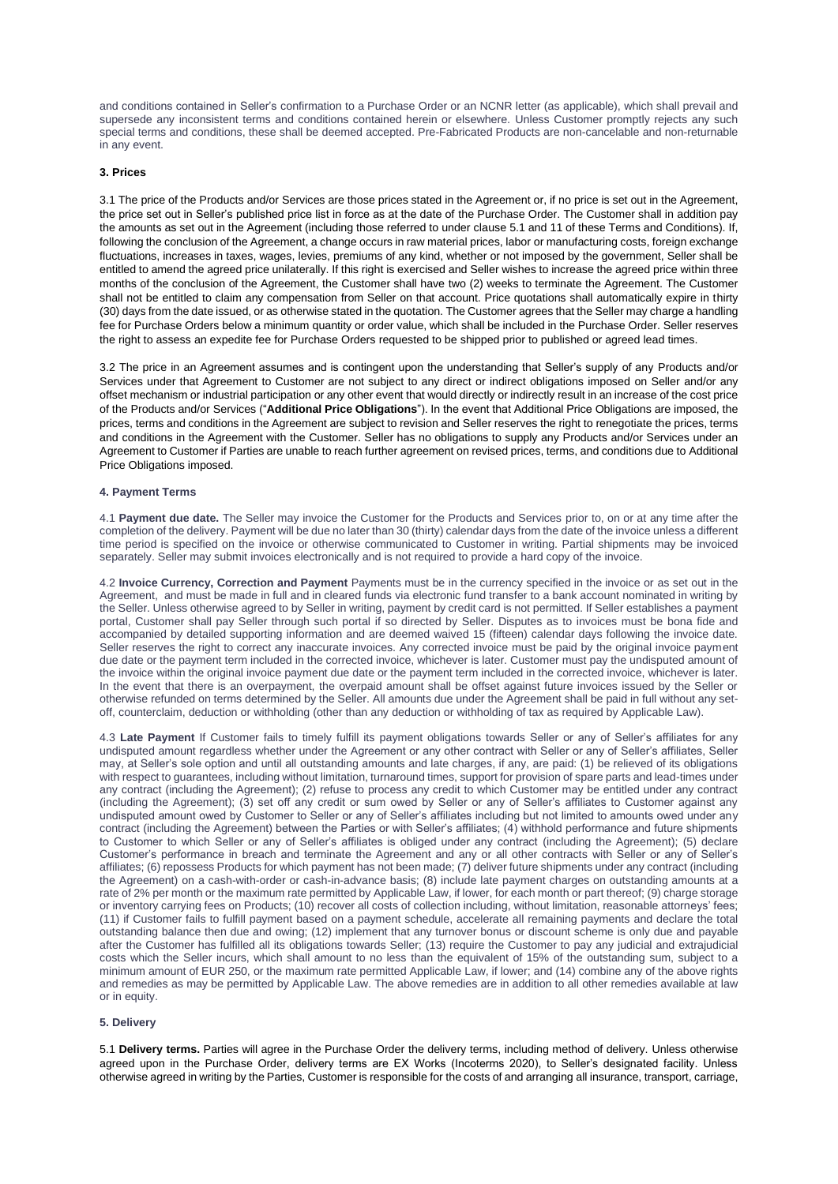and conditions contained in Seller's confirmation to a Purchase Order or an NCNR letter (as applicable), which shall prevail and supersede any inconsistent terms and conditions contained herein or elsewhere. Unless Customer promptly rejects any such special terms and conditions, these shall be deemed accepted. Pre-Fabricated Products are non-cancelable and non-returnable in any event.

### **3. Prices**

3.1 The price of the Products and/or Services are those prices stated in the Agreement or, if no price is set out in the Agreement, the price set out in Seller's published price list in force as at the date of the Purchase Order. The Customer shall in addition pay the amounts as set out in the Agreement (including those referred to under clause 5.1 and 11 of these Terms and Conditions). If, following the conclusion of the Agreement, a change occurs in raw material prices, labor or manufacturing costs, foreign exchange fluctuations, increases in taxes, wages, levies, premiums of any kind, whether or not imposed by the government, Seller shall be entitled to amend the agreed price unilaterally. If this right is exercised and Seller wishes to increase the agreed price within three months of the conclusion of the Agreement, the Customer shall have two (2) weeks to terminate the Agreement. The Customer shall not be entitled to claim any compensation from Seller on that account. Price quotations shall automatically expire in thirty (30) days from the date issued, or as otherwise stated in the quotation. The Customer agrees that the Seller may charge a handling fee for Purchase Orders below a minimum quantity or order value, which shall be included in the Purchase Order. Seller reserves the right to assess an expedite fee for Purchase Orders requested to be shipped prior to published or agreed lead times.

3.2 The price in an Agreement assumes and is contingent upon the understanding that Seller's supply of any Products and/or Services under that Agreement to Customer are not subject to any direct or indirect obligations imposed on Seller and/or any offset mechanism or industrial participation or any other event that would directly or indirectly result in an increase of the cost price of the Products and/or Services ("**Additional Price Obligations**"). In the event that Additional Price Obligations are imposed, the prices, terms and conditions in the Agreement are subject to revision and Seller reserves the right to renegotiate the prices, terms and conditions in the Agreement with the Customer. Seller has no obligations to supply any Products and/or Services under an Agreement to Customer if Parties are unable to reach further agreement on revised prices, terms, and conditions due to Additional Price Obligations imposed.

### **4. Payment Terms**

4.1 **Payment due date.** The Seller may invoice the Customer for the Products and Services prior to, on or at any time after the completion of the delivery. Payment will be due no later than 30 (thirty) calendar days from the date of the invoice unless a different time period is specified on the invoice or otherwise communicated to Customer in writing. Partial shipments may be invoiced separately. Seller may submit invoices electronically and is not required to provide a hard copy of the invoice.

4.2 **Invoice Currency, Correction and Payment** Payments must be in the currency specified in the invoice or as set out in the Agreement, and must be made in full and in cleared funds via electronic fund transfer to a bank account nominated in writing by the Seller. Unless otherwise agreed to by Seller in writing, payment by credit card is not permitted. If Seller establishes a payment portal, Customer shall pay Seller through such portal if so directed by Seller. Disputes as to invoices must be bona fide and accompanied by detailed supporting information and are deemed waived 15 (fifteen) calendar days following the invoice date. Seller reserves the right to correct any inaccurate invoices. Any corrected invoice must be paid by the original invoice payment due date or the payment term included in the corrected invoice, whichever is later. Customer must pay the undisputed amount of the invoice within the original invoice payment due date or the payment term included in the corrected invoice, whichever is later. In the event that there is an overpayment, the overpaid amount shall be offset against future invoices issued by the Seller or otherwise refunded on terms determined by the Seller. All amounts due under the Agreement shall be paid in full without any setoff, counterclaim, deduction or withholding (other than any deduction or withholding of tax as required by Applicable Law).

4.3 **Late Payment** If Customer fails to timely fulfill its payment obligations towards Seller or any of Seller's affiliates for any undisputed amount regardless whether under the Agreement or any other contract with Seller or any of Seller's affiliates, Seller may, at Seller's sole option and until all outstanding amounts and late charges, if any, are paid: (1) be relieved of its obligations with respect to guarantees, including without limitation, turnaround times, support for provision of spare parts and lead-times under any contract (including the Agreement); (2) refuse to process any credit to which Customer may be entitled under any contract (including the Agreement); (3) set off any credit or sum owed by Seller or any of Seller's affiliates to Customer against any undisputed amount owed by Customer to Seller or any of Seller's affiliates including but not limited to amounts owed under any contract (including the Agreement) between the Parties or with Seller's affiliates; (4) withhold performance and future shipments to Customer to which Seller or any of Seller's affiliates is obliged under any contract (including the Agreement); (5) declare Customer's performance in breach and terminate the Agreement and any or all other contracts with Seller or any of Seller's affiliates; (6) repossess Products for which payment has not been made; (7) deliver future shipments under any contract (including the Agreement) on a cash-with-order or cash-in-advance basis; (8) include late payment charges on outstanding amounts at a rate of 2% per month or the maximum rate permitted by Applicable Law, if lower, for each month or part thereof; (9) charge storage or inventory carrying fees on Products; (10) recover all costs of collection including, without limitation, reasonable attorneys' fees; (11) if Customer fails to fulfill payment based on a payment schedule, accelerate all remaining payments and declare the total outstanding balance then due and owing; (12) implement that any turnover bonus or discount scheme is only due and payable after the Customer has fulfilled all its obligations towards Seller; (13) require the Customer to pay any judicial and extrajudicial costs which the Seller incurs, which shall amount to no less than the equivalent of 15% of the outstanding sum, subject to a minimum amount of EUR 250, or the maximum rate permitted Applicable Law, if lower; and (14) combine any of the above rights and remedies as may be permitted by Applicable Law. The above remedies are in addition to all other remedies available at law or in equity.

# **5. Delivery**

5.1 **Delivery terms.** Parties will agree in the Purchase Order the delivery terms, including method of delivery. Unless otherwise agreed upon in the Purchase Order, delivery terms are EX Works (Incoterms 2020), to Seller's designated facility. Unless otherwise agreed in writing by the Parties, Customer is responsible for the costs of and arranging all insurance, transport, carriage,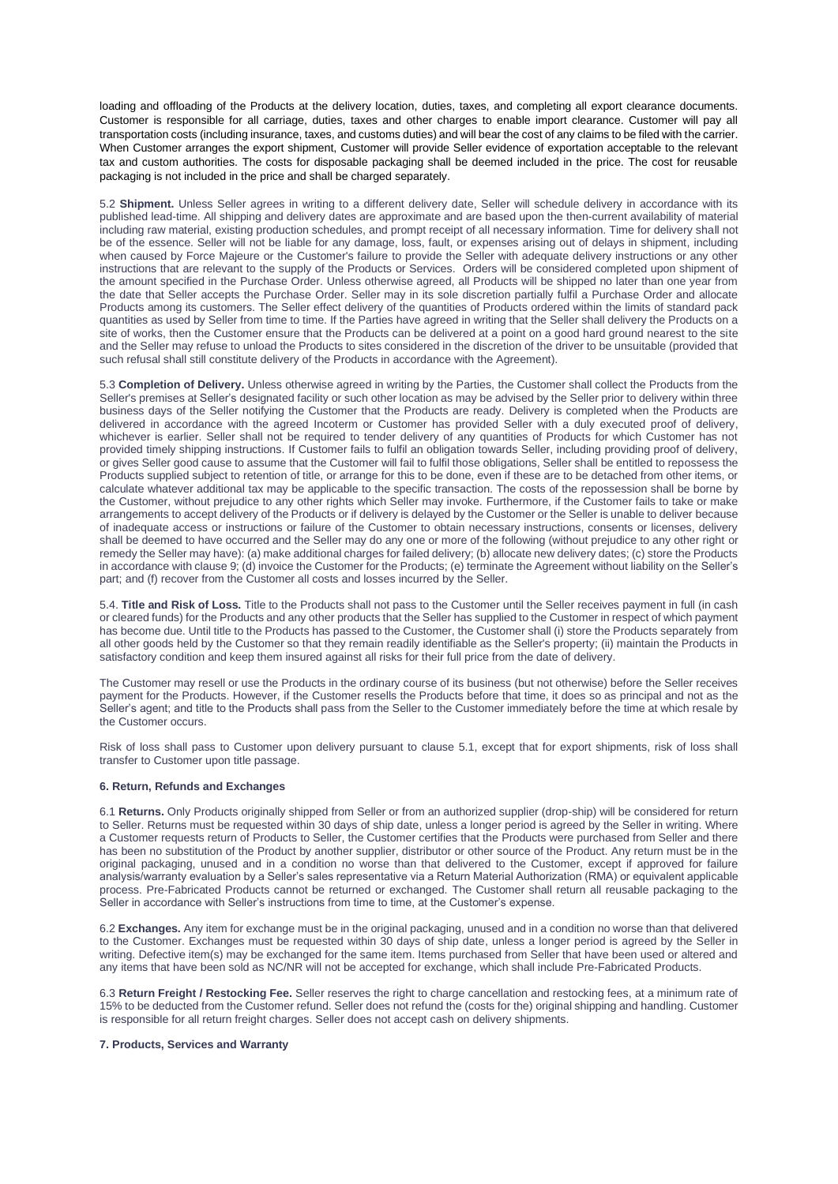loading and offloading of the Products at the delivery location, duties, taxes, and completing all export clearance documents. Customer is responsible for all carriage, duties, taxes and other charges to enable import clearance. Customer will pay all transportation costs (including insurance, taxes, and customs duties) and will bear the cost of any claims to be filed with the carrier. When Customer arranges the export shipment, Customer will provide Seller evidence of exportation acceptable to the relevant tax and custom authorities. The costs for disposable packaging shall be deemed included in the price. The cost for reusable packaging is not included in the price and shall be charged separately.

5.2 **Shipment.** Unless Seller agrees in writing to a different delivery date, Seller will schedule delivery in accordance with its published lead-time. All shipping and delivery dates are approximate and are based upon the then-current availability of material including raw material, existing production schedules, and prompt receipt of all necessary information. Time for delivery shall not be of the essence. Seller will not be liable for any damage, loss, fault, or expenses arising out of delays in shipment, including when caused by Force Majeure or the Customer's failure to provide the Seller with adequate delivery instructions or any other instructions that are relevant to the supply of the Products or Services. Orders will be considered completed upon shipment of the amount specified in the Purchase Order. Unless otherwise agreed, all Products will be shipped no later than one year from the date that Seller accepts the Purchase Order. Seller may in its sole discretion partially fulfil a Purchase Order and allocate Products among its customers. The Seller effect delivery of the quantities of Products ordered within the limits of standard pack quantities as used by Seller from time to time. If the Parties have agreed in writing that the Seller shall delivery the Products on a site of works, then the Customer ensure that the Products can be delivered at a point on a good hard ground nearest to the site and the Seller may refuse to unload the Products to sites considered in the discretion of the driver to be unsuitable (provided that such refusal shall still constitute delivery of the Products in accordance with the Agreement).

5.3 **Completion of Delivery.** Unless otherwise agreed in writing by the Parties, the Customer shall collect the Products from the Seller's premises at Seller's designated facility or such other location as may be advised by the Seller prior to delivery within three business days of the Seller notifying the Customer that the Products are ready. Delivery is completed when the Products are delivered in accordance with the agreed Incoterm or Customer has provided Seller with a duly executed proof of delivery, whichever is earlier. Seller shall not be required to tender delivery of any quantities of Products for which Customer has not provided timely shipping instructions. If Customer fails to fulfil an obligation towards Seller, including providing proof of delivery, or gives Seller good cause to assume that the Customer will fail to fulfil those obligations, Seller shall be entitled to repossess the Products supplied subject to retention of title, or arrange for this to be done, even if these are to be detached from other items, or calculate whatever additional tax may be applicable to the specific transaction. The costs of the repossession shall be borne by the Customer, without prejudice to any other rights which Seller may invoke. Furthermore, if the Customer fails to take or make arrangements to accept delivery of the Products or if delivery is delayed by the Customer or the Seller is unable to deliver because of inadequate access or instructions or failure of the Customer to obtain necessary instructions, consents or licenses, delivery shall be deemed to have occurred and the Seller may do any one or more of the following (without prejudice to any other right or remedy the Seller may have): (a) make additional charges for failed delivery; (b) allocate new delivery dates; (c) store the Products in accordance with clause 9; (d) invoice the Customer for the Products; (e) terminate the Agreement without liability on the Seller's part; and (f) recover from the Customer all costs and losses incurred by the Seller.

5.4. **Title and Risk of Loss.** Title to the Products shall not pass to the Customer until the Seller receives payment in full (in cash or cleared funds) for the Products and any other products that the Seller has supplied to the Customer in respect of which payment has become due. Until title to the Products has passed to the Customer, the Customer shall (i) store the Products separately from all other goods held by the Customer so that they remain readily identifiable as the Seller's property; (ii) maintain the Products in satisfactory condition and keep them insured against all risks for their full price from the date of delivery.

The Customer may resell or use the Products in the ordinary course of its business (but not otherwise) before the Seller receives payment for the Products. However, if the Customer resells the Products before that time, it does so as principal and not as the Seller's agent; and title to the Products shall pass from the Seller to the Customer immediately before the time at which resale by the Customer occurs.

Risk of loss shall pass to Customer upon delivery pursuant to clause 5.1, except that for export shipments, risk of loss shall transfer to Customer upon title passage.

## **6. Return, Refunds and Exchanges**

6.1 **Returns.** Only Products originally shipped from Seller or from an authorized supplier (drop-ship) will be considered for return to Seller. Returns must be requested within 30 days of ship date, unless a longer period is agreed by the Seller in writing. Where a Customer requests return of Products to Seller, the Customer certifies that the Products were purchased from Seller and there has been no substitution of the Product by another supplier, distributor or other source of the Product. Any return must be in the original packaging, unused and in a condition no worse than that delivered to the Customer, except if approved for failure analysis/warranty evaluation by a Seller's sales representative via a Return Material Authorization (RMA) or equivalent applicable process. Pre-Fabricated Products cannot be returned or exchanged. The Customer shall return all reusable packaging to the Seller in accordance with Seller's instructions from time to time, at the Customer's expense.

6.2 **Exchanges.** Any item for exchange must be in the original packaging, unused and in a condition no worse than that delivered to the Customer. Exchanges must be requested within 30 days of ship date, unless a longer period is agreed by the Seller in writing. Defective item(s) may be exchanged for the same item. Items purchased from Seller that have been used or altered and any items that have been sold as NC/NR will not be accepted for exchange, which shall include Pre-Fabricated Products.

6.3 **Return Freight / Restocking Fee.** Seller reserves the right to charge cancellation and restocking fees, at a minimum rate of 15% to be deducted from the Customer refund. Seller does not refund the (costs for the) original shipping and handling. Customer is responsible for all return freight charges. Seller does not accept cash on delivery shipments.

### **7. Products, Services and Warranty**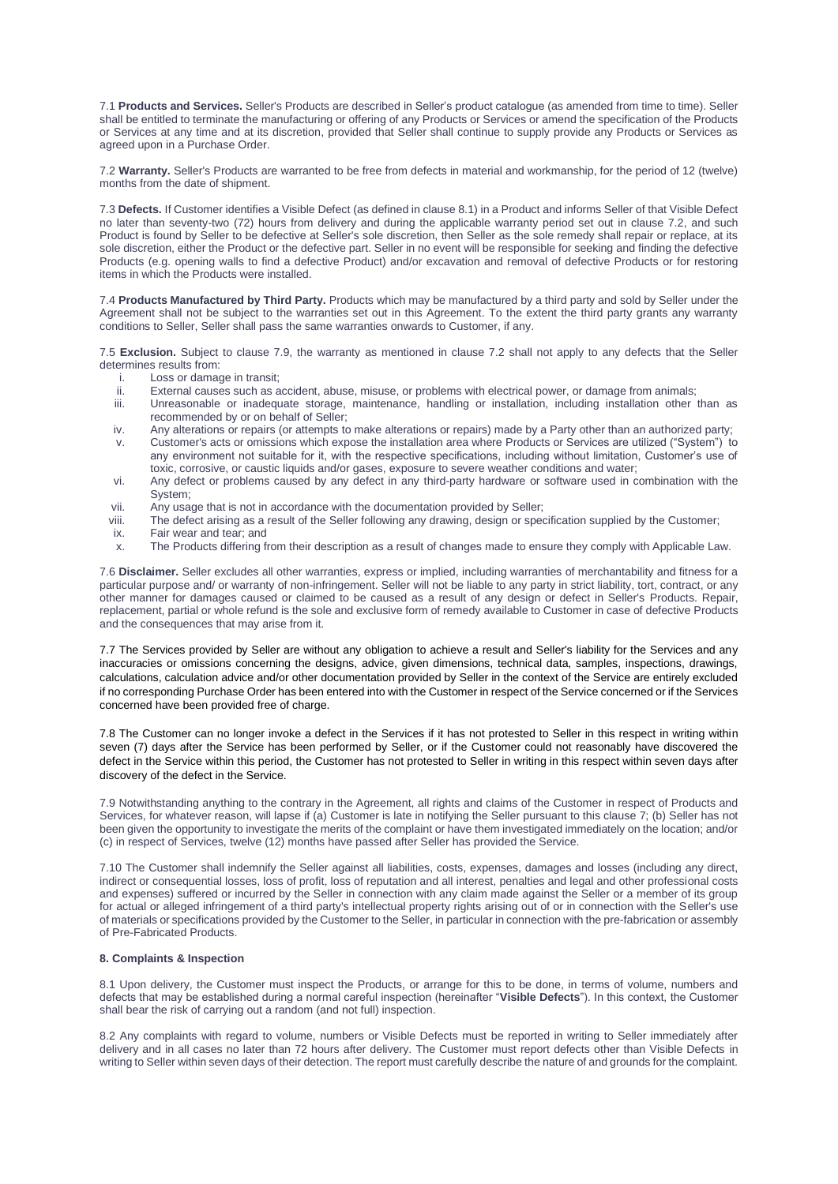7.1 **Products and Services.** Seller's Products are described in Seller's product catalogue (as amended from time to time). Seller shall be entitled to terminate the manufacturing or offering of any Products or Services or amend the specification of the Products or Services at any time and at its discretion, provided that Seller shall continue to supply provide any Products or Services as agreed upon in a Purchase Order.

7.2 **Warranty.** Seller's Products are warranted to be free from defects in material and workmanship, for the period of 12 (twelve) months from the date of shipment.

7.3 **Defects.** If Customer identifies a Visible Defect (as defined in clause 8.1) in a Product and informs Seller of that Visible Defect no later than seventy-two (72) hours from delivery and during the applicable warranty period set out in clause 7.2, and such Product is found by Seller to be defective at Seller's sole discretion, then Seller as the sole remedy shall repair or replace, at its sole discretion, either the Product or the defective part. Seller in no event will be responsible for seeking and finding the defective Products (e.g. opening walls to find a defective Product) and/or excavation and removal of defective Products or for restoring items in which the Products were installed.

7.4 **Products Manufactured by Third Party.** Products which may be manufactured by a third party and sold by Seller under the Agreement shall not be subject to the warranties set out in this Agreement. To the extent the third party grants any warranty conditions to Seller, Seller shall pass the same warranties onwards to Customer, if any.

7.5 **Exclusion.** Subject to clause 7.9, the warranty as mentioned in clause 7.2 shall not apply to any defects that the Seller determines results from:

- i. Loss or damage in transit;<br>ii. External causes such as a
- External causes such as accident, abuse, misuse, or problems with electrical power, or damage from animals;
- iii. Unreasonable or inadequate storage, maintenance, handling or installation, including installation other than as recommended by or on behalf of Seller;
- iv. Any alterations or repairs (or attempts to make alterations or repairs) made by a Party other than an authorized party;
- v. Customer's acts or omissions which expose the installation area where Products or Services are utilized ("System") to any environment not suitable for it, with the respective specifications, including without limitation, Customer's use of toxic, corrosive, or caustic liquids and/or gases, exposure to severe weather conditions and water;
- vi. Any defect or problems caused by any defect in any third-party hardware or software used in combination with the System;
- vii. Any usage that is not in accordance with the documentation provided by Seller;<br>viii. The defect arising as a result of the Seller following any drawing, design or spec-
- The defect arising as a result of the Seller following any drawing, design or specification supplied by the Customer;
- ix. Fair wear and tear; and
- x. The Products differing from their description as a result of changes made to ensure they comply with Applicable Law.

7.6 **Disclaimer.** Seller excludes all other warranties, express or implied, including warranties of merchantability and fitness for a particular purpose and/ or warranty of non-infringement. Seller will not be liable to any party in strict liability, tort, contract, or any other manner for damages caused or claimed to be caused as a result of any design or defect in Seller's Products. Repair, replacement, partial or whole refund is the sole and exclusive form of remedy available to Customer in case of defective Products and the consequences that may arise from it.

7.7 The Services provided by Seller are without any obligation to achieve a result and Seller's liability for the Services and any inaccuracies or omissions concerning the designs, advice, given dimensions, technical data, samples, inspections, drawings, calculations, calculation advice and/or other documentation provided by Seller in the context of the Service are entirely excluded if no corresponding Purchase Order has been entered into with the Customer in respect of the Service concerned or if the Services concerned have been provided free of charge.

7.8 The Customer can no longer invoke a defect in the Services if it has not protested to Seller in this respect in writing within seven (7) days after the Service has been performed by Seller, or if the Customer could not reasonably have discovered the defect in the Service within this period, the Customer has not protested to Seller in writing in this respect within seven days after discovery of the defect in the Service.

7.9 Notwithstanding anything to the contrary in the Agreement, all rights and claims of the Customer in respect of Products and Services, for whatever reason, will lapse if (a) Customer is late in notifying the Seller pursuant to this clause 7; (b) Seller has not been given the opportunity to investigate the merits of the complaint or have them investigated immediately on the location; and/or (c) in respect of Services, twelve (12) months have passed after Seller has provided the Service.

7.10 The Customer shall indemnify the Seller against all liabilities, costs, expenses, damages and losses (including any direct, indirect or consequential losses, loss of profit, loss of reputation and all interest, penalties and legal and other professional costs and expenses) suffered or incurred by the Seller in connection with any claim made against the Seller or a member of its group for actual or alleged infringement of a third party's intellectual property rights arising out of or in connection with the Seller's use of materials or specifications provided by the Customer to the Seller, in particular in connection with the pre-fabrication or assembly of Pre-Fabricated Products.

## **8. Complaints & Inspection**

8.1 Upon delivery, the Customer must inspect the Products, or arrange for this to be done, in terms of volume, numbers and defects that may be established during a normal careful inspection (hereinafter "**Visible Defects**"). In this context, the Customer shall bear the risk of carrying out a random (and not full) inspection.

8.2 Any complaints with regard to volume, numbers or Visible Defects must be reported in writing to Seller immediately after delivery and in all cases no later than 72 hours after delivery. The Customer must report defects other than Visible Defects in writing to Seller within seven days of their detection. The report must carefully describe the nature of and grounds for the complaint.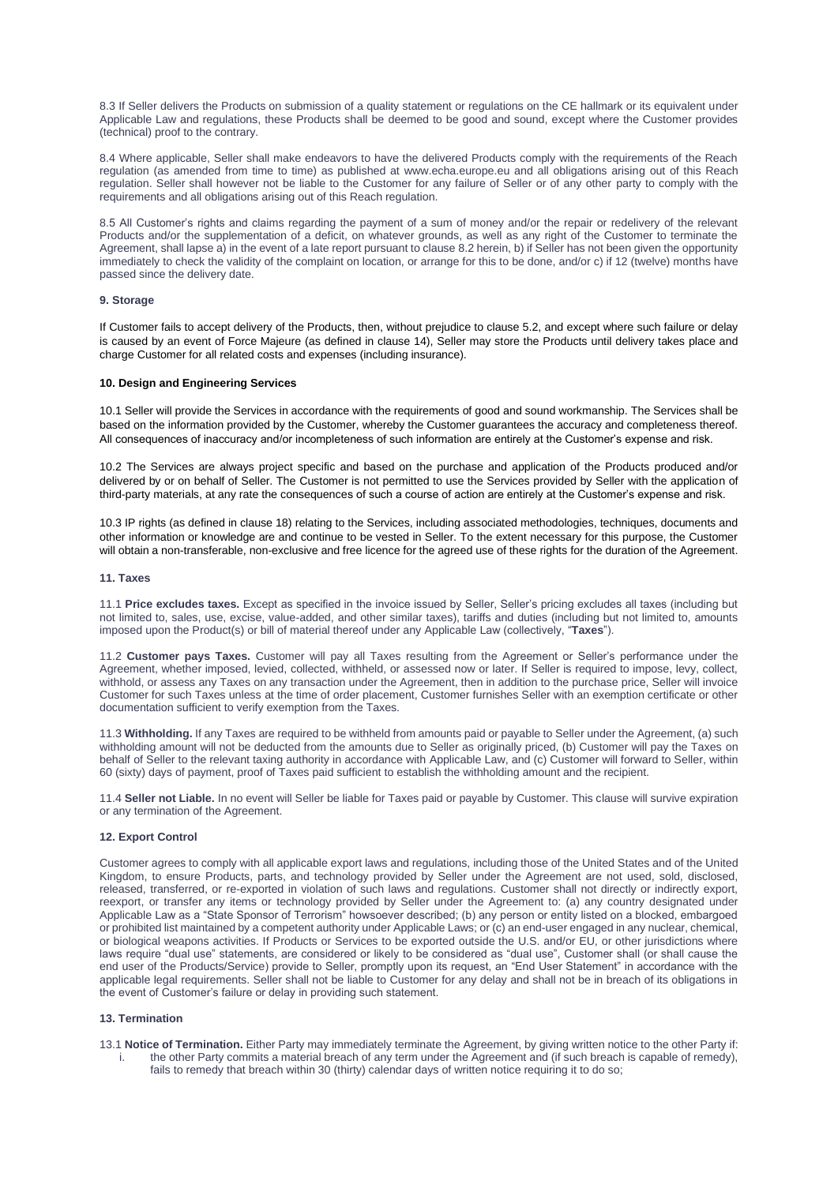8.3 If Seller delivers the Products on submission of a quality statement or regulations on the CE hallmark or its equivalent under Applicable Law and regulations, these Products shall be deemed to be good and sound, except where the Customer provides (technical) proof to the contrary.

8.4 Where applicable, Seller shall make endeavors to have the delivered Products comply with the requirements of the Reach regulation (as amended from time to time) as published at www.echa.europe.eu and all obligations arising out of this Reach regulation. Seller shall however not be liable to the Customer for any failure of Seller or of any other party to comply with the requirements and all obligations arising out of this Reach regulation.

8.5 All Customer's rights and claims regarding the payment of a sum of money and/or the repair or redelivery of the relevant Products and/or the supplementation of a deficit, on whatever grounds, as well as any right of the Customer to terminate the Agreement, shall lapse a) in the event of a late report pursuant to clause 8.2 herein, b) if Seller has not been given the opportunity immediately to check the validity of the complaint on location, or arrange for this to be done, and/or c) if 12 (twelve) months have passed since the delivery date.

# **9. Storage**

If Customer fails to accept delivery of the Products, then, without prejudice to clause 5.2, and except where such failure or delay is caused by an event of Force Majeure (as defined in clause 14), Seller may store the Products until delivery takes place and charge Customer for all related costs and expenses (including insurance).

# **10. Design and Engineering Services**

10.1 Seller will provide the Services in accordance with the requirements of good and sound workmanship. The Services shall be based on the information provided by the Customer, whereby the Customer guarantees the accuracy and completeness thereof. All consequences of inaccuracy and/or incompleteness of such information are entirely at the Customer's expense and risk.

10.2 The Services are always project specific and based on the purchase and application of the Products produced and/or delivered by or on behalf of Seller. The Customer is not permitted to use the Services provided by Seller with the application of third-party materials, at any rate the consequences of such a course of action are entirely at the Customer's expense and risk.

10.3 IP rights (as defined in clause 18) relating to the Services, including associated methodologies, techniques, documents and other information or knowledge are and continue to be vested in Seller. To the extent necessary for this purpose, the Customer will obtain a non-transferable, non-exclusive and free licence for the agreed use of these rights for the duration of the Agreement.

# **11. Taxes**

11.1 **Price excludes taxes.** Except as specified in the invoice issued by Seller, Seller's pricing excludes all taxes (including but not limited to, sales, use, excise, value-added, and other similar taxes), tariffs and duties (including but not limited to, amounts imposed upon the Product(s) or bill of material thereof under any Applicable Law (collectively, "**Taxes**").

11.2 **Customer pays Taxes.** Customer will pay all Taxes resulting from the Agreement or Seller's performance under the Agreement, whether imposed, levied, collected, withheld, or assessed now or later. If Seller is required to impose, levy, collect, withhold, or assess any Taxes on any transaction under the Agreement, then in addition to the purchase price, Seller will invoice Customer for such Taxes unless at the time of order placement, Customer furnishes Seller with an exemption certificate or other documentation sufficient to verify exemption from the Taxes.

11.3 **Withholding.** If any Taxes are required to be withheld from amounts paid or payable to Seller under the Agreement, (a) such withholding amount will not be deducted from the amounts due to Seller as originally priced, (b) Customer will pay the Taxes on behalf of Seller to the relevant taxing authority in accordance with Applicable Law, and (c) Customer will forward to Seller, within 60 (sixty) days of payment, proof of Taxes paid sufficient to establish the withholding amount and the recipient.

11.4 **Seller not Liable.** In no event will Seller be liable for Taxes paid or payable by Customer. This clause will survive expiration or any termination of the Agreement.

### **12. Export Control**

Customer agrees to comply with all applicable export laws and regulations, including those of the United States and of the United Kingdom, to ensure Products, parts, and technology provided by Seller under the Agreement are not used, sold, disclosed, released, transferred, or re-exported in violation of such laws and regulations. Customer shall not directly or indirectly export, reexport, or transfer any items or technology provided by Seller under the Agreement to: (a) any country designated under Applicable Law as a "State Sponsor of Terrorism" howsoever described; (b) any person or entity listed on a blocked, embargoed or prohibited list maintained by a competent authority under Applicable Laws; or (c) an end-user engaged in any nuclear, chemical, or biological weapons activities. If Products or Services to be exported outside the U.S. and/or EU, or other jurisdictions where laws require "dual use" statements, are considered or likely to be considered as "dual use", Customer shall (or shall cause the end user of the Products/Service) provide to Seller, promptly upon its request, an "End User Statement" in accordance with the applicable legal requirements. Seller shall not be liable to Customer for any delay and shall not be in breach of its obligations in the event of Customer's failure or delay in providing such statement.

#### **13. Termination**

13.1 **Notice of Termination.** Either Party may immediately terminate the Agreement, by giving written notice to the other Party if:

i. the other Party commits a material breach of any term under the Agreement and (if such breach is capable of remedy), fails to remedy that breach within 30 (thirty) calendar days of written notice requiring it to do so;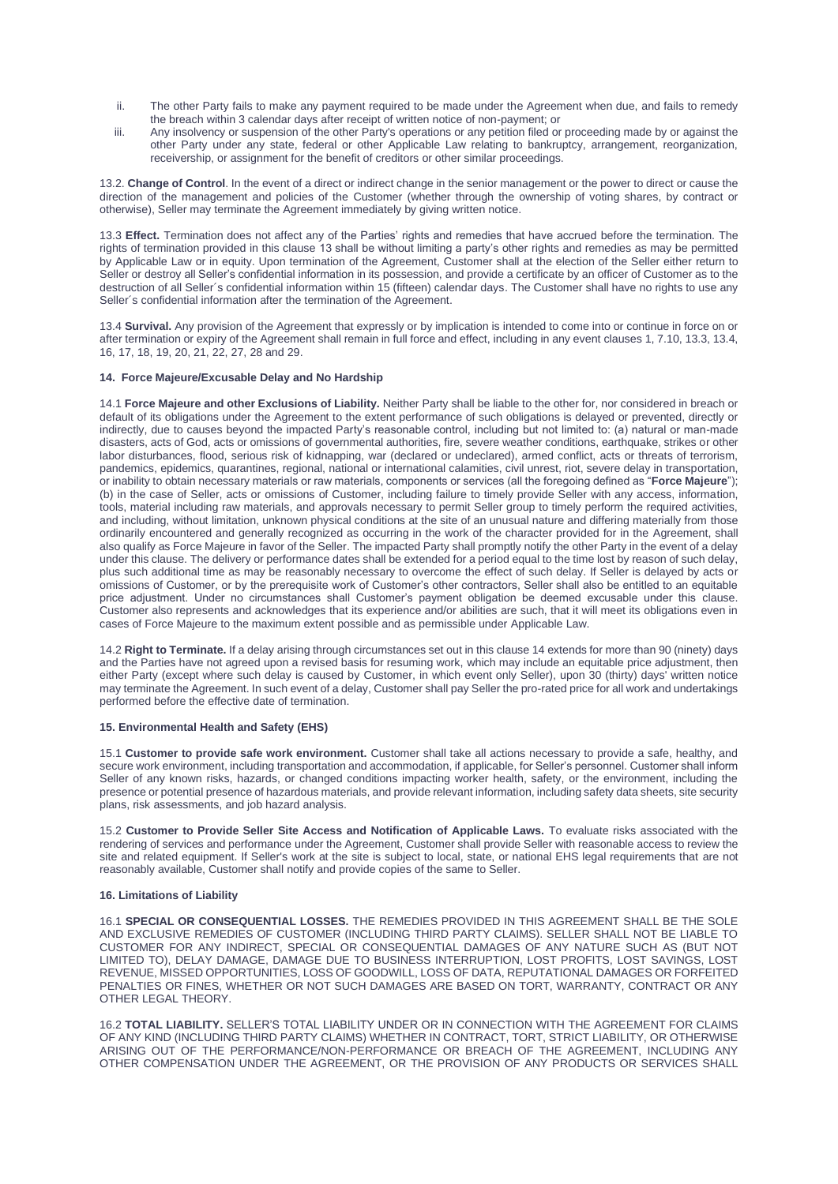- ii. The other Party fails to make any payment required to be made under the Agreement when due, and fails to remedy the breach within 3 calendar days after receipt of written notice of non-payment; or
- iii. Any insolvency or suspension of the other Party's operations or any petition filed or proceeding made by or against the other Party under any state, federal or other Applicable Law relating to bankruptcy, arrangement, reorganization, receivership, or assignment for the benefit of creditors or other similar proceedings.

13.2. **Change of Control**. In the event of a direct or indirect change in the senior management or the power to direct or cause the direction of the management and policies of the Customer (whether through the ownership of voting shares, by contract or otherwise), Seller may terminate the Agreement immediately by giving written notice.

13.3 **Effect.** Termination does not affect any of the Parties' rights and remedies that have accrued before the termination. The rights of termination provided in this clause 13 shall be without limiting a party's other rights and remedies as may be permitted by Applicable Law or in equity. Upon termination of the Agreement, Customer shall at the election of the Seller either return to Seller or destroy all Seller's confidential information in its possession, and provide a certificate by an officer of Customer as to the destruction of all Seller's confidential information within 15 (fifteen) calendar days. The Customer shall have no rights to use any Seller´s confidential information after the termination of the Agreement.

13.4 **Survival.** Any provision of the Agreement that expressly or by implication is intended to come into or continue in force on or after termination or expiry of the Agreement shall remain in full force and effect, including in any event clauses 1, 7.10, 13.3, 13.4, 16, 17, 18, 19, 20, 21, 22, 27, 28 and 29.

# **14. Force Majeure/Excusable Delay and No Hardship**

14.1 **Force Majeure and other Exclusions of Liability.** Neither Party shall be liable to the other for, nor considered in breach or default of its obligations under the Agreement to the extent performance of such obligations is delayed or prevented, directly or indirectly, due to causes beyond the impacted Party's reasonable control, including but not limited to: (a) natural or man-made disasters, acts of God, acts or omissions of governmental authorities, fire, severe weather conditions, earthquake, strikes or other labor disturbances, flood, serious risk of kidnapping, war (declared or undeclared), armed conflict, acts or threats of terrorism, pandemics, epidemics, quarantines, regional, national or international calamities, civil unrest, riot, severe delay in transportation, or inability to obtain necessary materials or raw materials, components or services (all the foregoing defined as "**Force Majeure**"); (b) in the case of Seller, acts or omissions of Customer, including failure to timely provide Seller with any access, information, tools, material including raw materials, and approvals necessary to permit Seller group to timely perform the required activities, and including, without limitation, unknown physical conditions at the site of an unusual nature and differing materially from those ordinarily encountered and generally recognized as occurring in the work of the character provided for in the Agreement, shall also qualify as Force Majeure in favor of the Seller. The impacted Party shall promptly notify the other Party in the event of a delay under this clause. The delivery or performance dates shall be extended for a period equal to the time lost by reason of such delay, plus such additional time as may be reasonably necessary to overcome the effect of such delay. If Seller is delayed by acts or omissions of Customer, or by the prerequisite work of Customer's other contractors, Seller shall also be entitled to an equitable price adjustment. Under no circumstances shall Customer's payment obligation be deemed excusable under this clause. Customer also represents and acknowledges that its experience and/or abilities are such, that it will meet its obligations even in cases of Force Majeure to the maximum extent possible and as permissible under Applicable Law.

14.2 **Right to Terminate.** If a delay arising through circumstances set out in this clause 14 extends for more than 90 (ninety) days and the Parties have not agreed upon a revised basis for resuming work, which may include an equitable price adjustment, then either Party (except where such delay is caused by Customer, in which event only Seller), upon 30 (thirty) days' written notice may terminate the Agreement. In such event of a delay, Customer shall pay Seller the pro-rated price for all work and undertakings performed before the effective date of termination.

#### **15. Environmental Health and Safety (EHS)**

15.1 **Customer to provide safe work environment.** Customer shall take all actions necessary to provide a safe, healthy, and secure work environment, including transportation and accommodation, if applicable, for Seller's personnel. Customer shall inform Seller of any known risks, hazards, or changed conditions impacting worker health, safety, or the environment, including the presence or potential presence of hazardous materials, and provide relevant information, including safety data sheets, site security plans, risk assessments, and job hazard analysis.

15.2 **Customer to Provide Seller Site Access and Notification of Applicable Laws.** To evaluate risks associated with the rendering of services and performance under the Agreement, Customer shall provide Seller with reasonable access to review the site and related equipment. If Seller's work at the site is subject to local, state, or national EHS legal requirements that are not reasonably available, Customer shall notify and provide copies of the same to Seller.

### **16. Limitations of Liability**

16.1 **SPECIAL OR CONSEQUENTIAL LOSSES.** THE REMEDIES PROVIDED IN THIS AGREEMENT SHALL BE THE SOLE AND EXCLUSIVE REMEDIES OF CUSTOMER (INCLUDING THIRD PARTY CLAIMS). SELLER SHALL NOT BE LIABLE TO CUSTOMER FOR ANY INDIRECT, SPECIAL OR CONSEQUENTIAL DAMAGES OF ANY NATURE SUCH AS (BUT NOT LIMITED TO), DELAY DAMAGE, DAMAGE DUE TO BUSINESS INTERRUPTION, LOST PROFITS, LOST SAVINGS, LOST REVENUE, MISSED OPPORTUNITIES, LOSS OF GOODWILL, LOSS OF DATA, REPUTATIONAL DAMAGES OR FORFEITED PENALTIES OR FINES, WHETHER OR NOT SUCH DAMAGES ARE BASED ON TORT, WARRANTY, CONTRACT OR ANY OTHER LEGAL THEORY.

16.2 **TOTAL LIABILITY.** SELLER'S TOTAL LIABILITY UNDER OR IN CONNECTION WITH THE AGREEMENT FOR CLAIMS OF ANY KIND (INCLUDING THIRD PARTY CLAIMS) WHETHER IN CONTRACT, TORT, STRICT LIABILITY, OR OTHERWISE ARISING OUT OF THE PERFORMANCE/NON-PERFORMANCE OR BREACH OF THE AGREEMENT, INCLUDING ANY OTHER COMPENSATION UNDER THE AGREEMENT, OR THE PROVISION OF ANY PRODUCTS OR SERVICES SHALL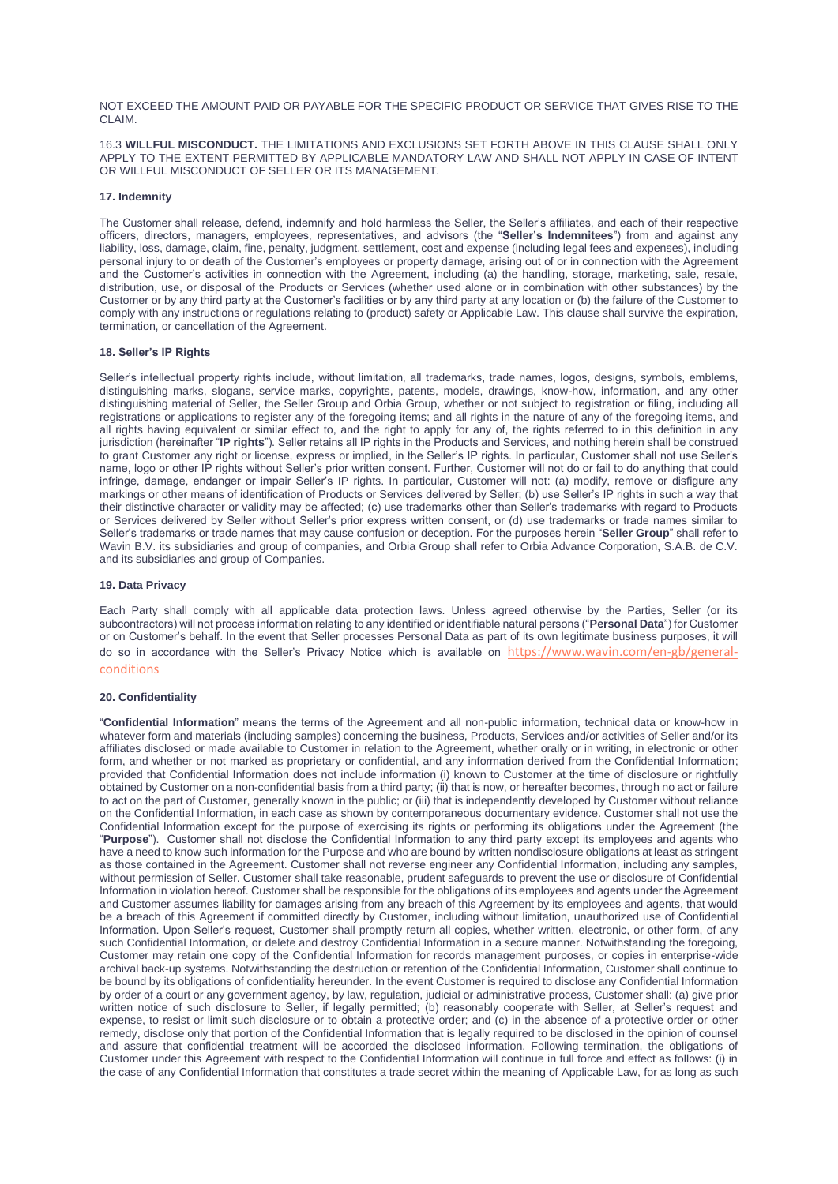NOT EXCEED THE AMOUNT PAID OR PAYABLE FOR THE SPECIFIC PRODUCT OR SERVICE THAT GIVES RISE TO THE CLAIM.

16.3 **WILLFUL MISCONDUCT.** THE LIMITATIONS AND EXCLUSIONS SET FORTH ABOVE IN THIS CLAUSE SHALL ONLY APPLY TO THE EXTENT PERMITTED BY APPLICABLE MANDATORY LAW AND SHALL NOT APPLY IN CASE OF INTENT OR WILLFUL MISCONDUCT OF SELLER OR ITS MANAGEMENT.

## **17. Indemnity**

The Customer shall release, defend, indemnify and hold harmless the Seller, the Seller's affiliates, and each of their respective officers, directors, managers, employees, representatives, and advisors (the "**Seller's Indemnitees**") from and against any liability, loss, damage, claim, fine, penalty, judgment, settlement, cost and expense (including legal fees and expenses), including personal injury to or death of the Customer's employees or property damage, arising out of or in connection with the Agreement and the Customer's activities in connection with the Agreement, including (a) the handling, storage, marketing, sale, resale, distribution, use, or disposal of the Products or Services (whether used alone or in combination with other substances) by the Customer or by any third party at the Customer's facilities or by any third party at any location or (b) the failure of the Customer to comply with any instructions or regulations relating to (product) safety or Applicable Law. This clause shall survive the expiration, termination, or cancellation of the Agreement.

# **18. Seller's IP Rights**

Seller's intellectual property rights include, without limitation, all trademarks, trade names, logos, designs, symbols, emblems, distinguishing marks, slogans, service marks, copyrights, patents, models, drawings, know-how, information, and any other distinguishing material of Seller, the Seller Group and Orbia Group, whether or not subject to registration or filing, including all registrations or applications to register any of the foregoing items; and all rights in the nature of any of the foregoing items, and all rights having equivalent or similar effect to, and the right to apply for any of, the rights referred to in this definition in any jurisdiction (hereinafter "**IP rights**"). Seller retains all IP rights in the Products and Services, and nothing herein shall be construed to grant Customer any right or license, express or implied, in the Seller's IP rights. In particular, Customer shall not use Seller's name, logo or other IP rights without Seller's prior written consent. Further, Customer will not do or fail to do anything that could infringe, damage, endanger or impair Seller's IP rights. In particular, Customer will not: (a) modify, remove or disfigure any markings or other means of identification of Products or Services delivered by Seller; (b) use Seller's IP rights in such a way that their distinctive character or validity may be affected; (c) use trademarks other than Seller's trademarks with regard to Products or Services delivered by Seller without Seller's prior express written consent, or (d) use trademarks or trade names similar to Seller's trademarks or trade names that may cause confusion or deception. For the purposes herein "**Seller Group**" shall refer to Wavin B.V. its subsidiaries and group of companies, and Orbia Group shall refer to Orbia Advance Corporation, S.A.B. de C.V. and its subsidiaries and group of Companies.

# **19. Data Privacy**

Each Party shall comply with all applicable data protection laws. Unless agreed otherwise by the Parties, Seller (or its subcontractors) will not process information relating to any identified or identifiable natural persons ("**Personal Data**") for Customer or on Customer's behalf. In the event that Seller processes Personal Data as part of its own legitimate business purposes, it will do so in accordance with the Seller's Privacy Notice which is available on [https://www.wavin.com/en-gb/general](https://www.wavin.com/en-gb/general-conditions)[conditions](https://www.wavin.com/en-gb/general-conditions)

## **20. Confidentiality**

"**Confidential Information**" means the terms of the Agreement and all non-public information, technical data or know-how in whatever form and materials (including samples) concerning the business, Products, Services and/or activities of Seller and/or its affiliates disclosed or made available to Customer in relation to the Agreement, whether orally or in writing, in electronic or other form, and whether or not marked as proprietary or confidential, and any information derived from the Confidential Information; provided that Confidential Information does not include information (i) known to Customer at the time of disclosure or rightfully obtained by Customer on a non-confidential basis from a third party; (ii) that is now, or hereafter becomes, through no act or failure to act on the part of Customer, generally known in the public; or (iii) that is independently developed by Customer without reliance on the Confidential Information, in each case as shown by contemporaneous documentary evidence. Customer shall not use the Confidential Information except for the purpose of exercising its rights or performing its obligations under the Agreement (the "**Purpose**"). Customer shall not disclose the Confidential Information to any third party except its employees and agents who have a need to know such information for the Purpose and who are bound by written nondisclosure obligations at least as stringent as those contained in the Agreement. Customer shall not reverse engineer any Confidential Information, including any samples, without permission of Seller. Customer shall take reasonable, prudent safeguards to prevent the use or disclosure of Confidential Information in violation hereof. Customer shall be responsible for the obligations of its employees and agents under the Agreement and Customer assumes liability for damages arising from any breach of this Agreement by its employees and agents, that would be a breach of this Agreement if committed directly by Customer, including without limitation, unauthorized use of Confidential Information. Upon Seller's request, Customer shall promptly return all copies, whether written, electronic, or other form, of any such Confidential Information, or delete and destroy Confidential Information in a secure manner. Notwithstanding the foregoing, Customer may retain one copy of the Confidential Information for records management purposes, or copies in enterprise-wide archival back-up systems. Notwithstanding the destruction or retention of the Confidential Information, Customer shall continue to be bound by its obligations of confidentiality hereunder. In the event Customer is required to disclose any Confidential Information by order of a court or any government agency, by law, regulation, judicial or administrative process, Customer shall: (a) give prior written notice of such disclosure to Seller, if legally permitted; (b) reasonably cooperate with Seller, at Seller's request and expense, to resist or limit such disclosure or to obtain a protective order; and (c) in the absence of a protective order or other remedy, disclose only that portion of the Confidential Information that is legally required to be disclosed in the opinion of counsel and assure that confidential treatment will be accorded the disclosed information. Following termination, the obligations of Customer under this Agreement with respect to the Confidential Information will continue in full force and effect as follows: (i) in the case of any Confidential Information that constitutes a trade secret within the meaning of Applicable Law, for as long as such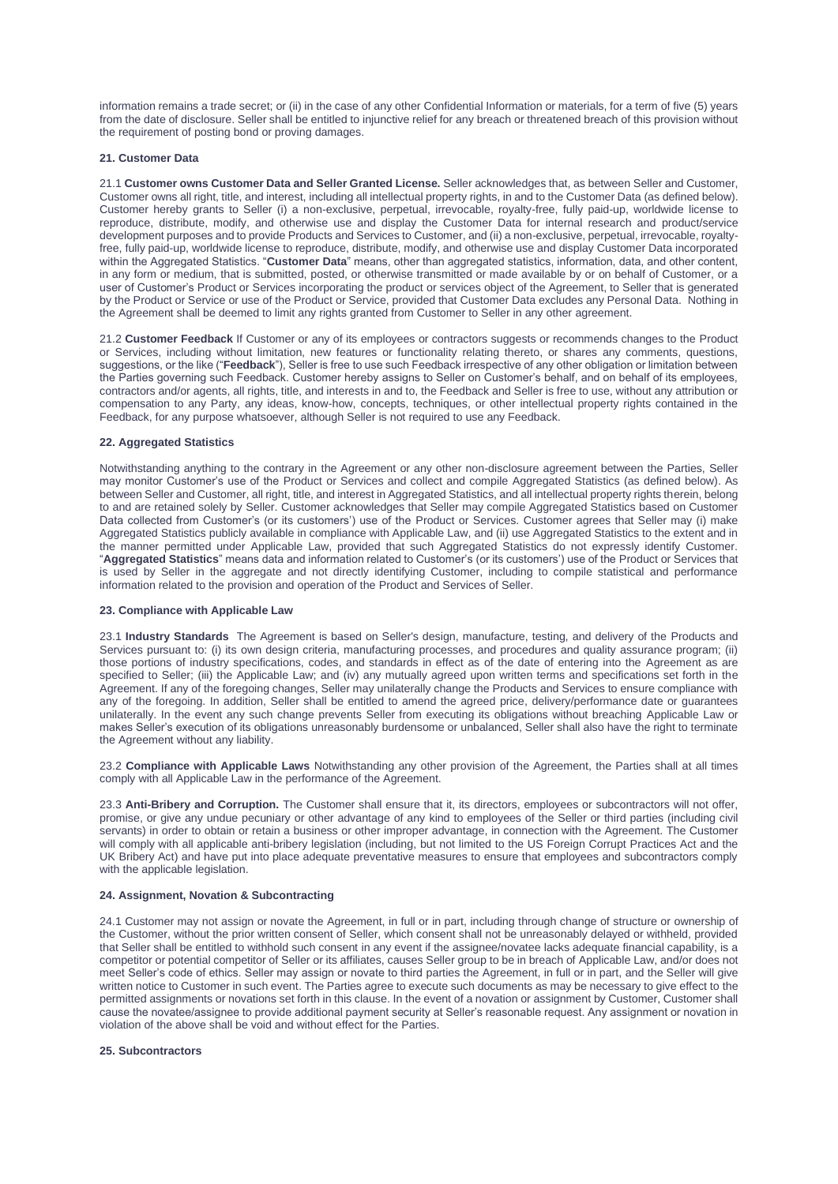information remains a trade secret; or (ii) in the case of any other Confidential Information or materials, for a term of five (5) years from the date of disclosure. Seller shall be entitled to injunctive relief for any breach or threatened breach of this provision without the requirement of posting bond or proving damages.

### **21. Customer Data**

21.1 **Customer owns Customer Data and Seller Granted License.** Seller acknowledges that, as between Seller and Customer, Customer owns all right, title, and interest, including all intellectual property rights, in and to the Customer Data (as defined below). Customer hereby grants to Seller (i) a non-exclusive, perpetual, irrevocable, royalty-free, fully paid-up, worldwide license to reproduce, distribute, modify, and otherwise use and display the Customer Data for internal research and product/service development purposes and to provide Products and Services to Customer, and (ii) a non-exclusive, perpetual, irrevocable, royaltyfree, fully paid-up, worldwide license to reproduce, distribute, modify, and otherwise use and display Customer Data incorporated within the Aggregated Statistics. "**Customer Data**" means, other than aggregated statistics, information, data, and other content, in any form or medium, that is submitted, posted, or otherwise transmitted or made available by or on behalf of Customer, or a user of Customer's Product or Services incorporating the product or services object of the Agreement, to Seller that is generated by the Product or Service or use of the Product or Service, provided that Customer Data excludes any Personal Data. Nothing in the Agreement shall be deemed to limit any rights granted from Customer to Seller in any other agreement.

21.2 **Customer Feedback** If Customer or any of its employees or contractors suggests or recommends changes to the Product or Services, including without limitation, new features or functionality relating thereto, or shares any comments, questions, suggestions, or the like ("**Feedback**"), Seller is free to use such Feedback irrespective of any other obligation or limitation between the Parties governing such Feedback. Customer hereby assigns to Seller on Customer's behalf, and on behalf of its employees, contractors and/or agents, all rights, title, and interests in and to, the Feedback and Seller is free to use, without any attribution or compensation to any Party, any ideas, know-how, concepts, techniques, or other intellectual property rights contained in the Feedback, for any purpose whatsoever, although Seller is not required to use any Feedback.

#### **22. Aggregated Statistics**

Notwithstanding anything to the contrary in the Agreement or any other non-disclosure agreement between the Parties, Seller may monitor Customer's use of the Product or Services and collect and compile Aggregated Statistics (as defined below). As between Seller and Customer, all right, title, and interest in Aggregated Statistics, and all intellectual property rights therein, belong to and are retained solely by Seller. Customer acknowledges that Seller may compile Aggregated Statistics based on Customer Data collected from Customer's (or its customers') use of the Product or Services. Customer agrees that Seller may (i) make Aggregated Statistics publicly available in compliance with Applicable Law, and (ii) use Aggregated Statistics to the extent and in the manner permitted under Applicable Law, provided that such Aggregated Statistics do not expressly identify Customer. "**Aggregated Statistics**" means data and information related to Customer's (or its customers') use of the Product or Services that is used by Seller in the aggregate and not directly identifying Customer, including to compile statistical and performance information related to the provision and operation of the Product and Services of Seller.

#### **23. Compliance with Applicable Law**

23.1 **Industry Standards** The Agreement is based on Seller's design, manufacture, testing, and delivery of the Products and Services pursuant to: (i) its own design criteria, manufacturing processes, and procedures and quality assurance program; (ii) those portions of industry specifications, codes, and standards in effect as of the date of entering into the Agreement as are specified to Seller; (iii) the Applicable Law; and (iv) any mutually agreed upon written terms and specifications set forth in the Agreement. If any of the foregoing changes, Seller may unilaterally change the Products and Services to ensure compliance with any of the foregoing. In addition, Seller shall be entitled to amend the agreed price, delivery/performance date or guarantees unilaterally. In the event any such change prevents Seller from executing its obligations without breaching Applicable Law or makes Seller's execution of its obligations unreasonably burdensome or unbalanced, Seller shall also have the right to terminate the Agreement without any liability.

23.2 **Compliance with Applicable Laws** Notwithstanding any other provision of the Agreement, the Parties shall at all times comply with all Applicable Law in the performance of the Agreement.

23.3 **Anti-Bribery and Corruption.** The Customer shall ensure that it, its directors, employees or subcontractors will not offer, promise, or give any undue pecuniary or other advantage of any kind to employees of the Seller or third parties (including civil servants) in order to obtain or retain a business or other improper advantage, in connection with the Agreement. The Customer will comply with all applicable anti-bribery legislation (including, but not limited to the US Foreign Corrupt Practices Act and the UK Bribery Act) and have put into place adequate preventative measures to ensure that employees and subcontractors comply with the applicable legislation.

### **24. Assignment, Novation & Subcontracting**

24.1 Customer may not assign or novate the Agreement, in full or in part, including through change of structure or ownership of the Customer, without the prior written consent of Seller, which consent shall not be unreasonably delayed or withheld, provided that Seller shall be entitled to withhold such consent in any event if the assignee/novatee lacks adequate financial capability, is a competitor or potential competitor of Seller or its affiliates, causes Seller group to be in breach of Applicable Law, and/or does not meet Seller's code of ethics. Seller may assign or novate to third parties the Agreement, in full or in part, and the Seller will give written notice to Customer in such event. The Parties agree to execute such documents as may be necessary to give effect to the permitted assignments or novations set forth in this clause. In the event of a novation or assignment by Customer, Customer shall cause the novatee/assignee to provide additional payment security at Seller's reasonable request. Any assignment or novation in violation of the above shall be void and without effect for the Parties.

### **25. Subcontractors**